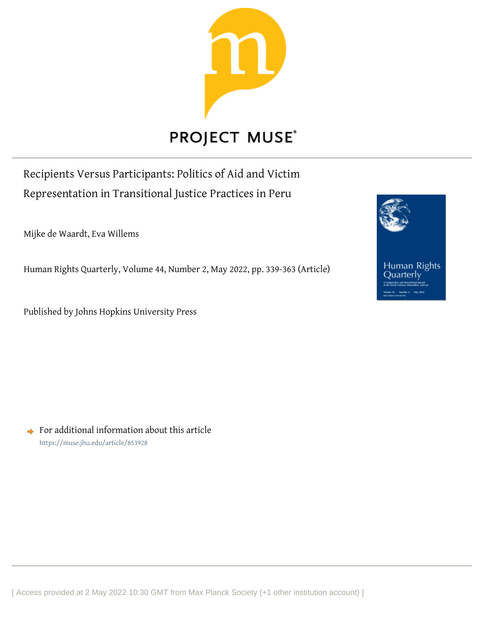

# **PROJECT MUSE®**

Recipients Versus Participants: Politics of Aid and Victim Representation in Transitional Justice Practices in Peru

Mijke de Waardt, Eva Willems

Human Rights Quarterly, Volume 44, Number 2, May 2022, pp. 339-363 (Article)

Published by Johns Hopkins University Press



 $\rightarrow$  For additional information about this article <https://muse.jhu.edu/article/853928>

[ Access provided at 2 May 2022 10:30 GMT from Max Planck Society (+1 other institution account) ]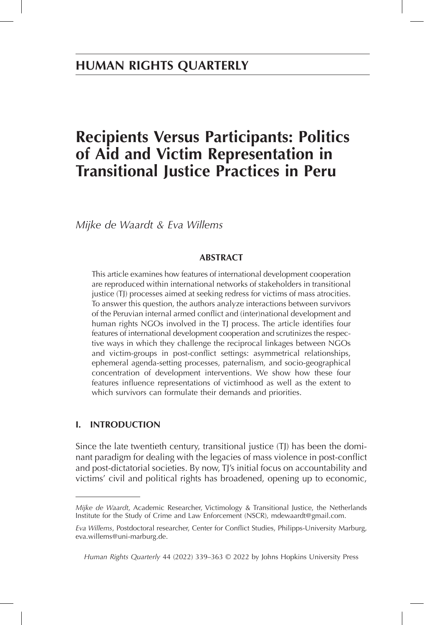# **Recipients Versus Participants: Politics of Aid and Victim Representation in Transitional Justice Practices in Peru**

*Mijke de Waardt & Eva Willems*

# **ABSTRACT**

This article examines how features of international development cooperation are reproduced within international networks of stakeholders in transitional justice (TJ) processes aimed at seeking redress for victims of mass atrocities. To answer this question, the authors analyze interactions between survivors of the Peruvian internal armed conflict and (inter)national development and human rights NGOs involved in the TJ process. The article identifies four features of international development cooperation and scrutinizes the respective ways in which they challenge the reciprocal linkages between NGOs and victim-groups in post-conflict settings: asymmetrical relationships, ephemeral agenda-setting processes, paternalism, and socio-geographical concentration of development interventions. We show how these four features influence representations of victimhood as well as the extent to which survivors can formulate their demands and priorities.

# **I. INTRODUCTION**

Since the late twentieth century, transitional justice (TJ) has been the dominant paradigm for dealing with the legacies of mass violence in post-conflict and post-dictatorial societies. By now, TJ's initial focus on accountability and victims' civil and political rights has broadened, opening up to economic,

*Mijke de Waardt*, Academic Researcher, Victimology & Transitional Justice, the Netherlands Institute for the Study of Crime and Law Enforcement (NSCR), mdewaardt@gmail.com.

*Eva Willems*, Postdoctoral researcher, Center for Conflict Studies, Philipps-University Marburg, eva.willems@uni-marburg.de.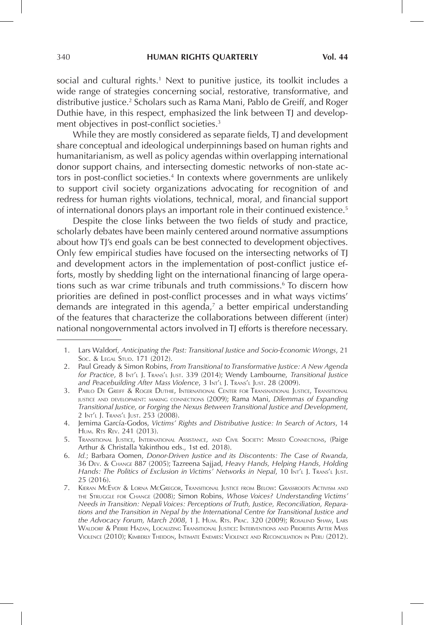social and cultural rights.<sup>1</sup> Next to punitive justice, its toolkit includes a wide range of strategies concerning social, restorative, transformative, and distributive justice.<sup>2</sup> Scholars such as Rama Mani, Pablo de Greiff, and Roger Duthie have, in this respect, emphasized the link between TJ and development objectives in post-conflict societies.<sup>3</sup>

While they are mostly considered as separate fields, TJ and development share conceptual and ideological underpinnings based on human rights and humanitarianism, as well as policy agendas within overlapping international donor support chains, and intersecting domestic networks of non-state actors in post-conflict societies.<sup>4</sup> In contexts where governments are unlikely to support civil society organizations advocating for recognition of and redress for human rights violations, technical, moral, and financial support of international donors plays an important role in their continued existence.<sup>5</sup>

Despite the close links between the two fields of study and practice, scholarly debates have been mainly centered around normative assumptions about how TJ's end goals can be best connected to development objectives. Only few empirical studies have focused on the intersecting networks of TJ and development actors in the implementation of post-conflict justice efforts, mostly by shedding light on the international financing of large operations such as war crime tribunals and truth commissions.<sup>6</sup> To discern how priorities are defined in post-conflict processes and in what ways victims' demands are integrated in this agenda,<sup>7</sup> a better empirical understanding of the features that characterize the collaborations between different (inter) national nongovernmental actors involved in TJ efforts is therefore necessary.

 <sup>1.</sup> Lars Waldorf, *Anticipating the Past: Transitional Justice and Socio-Economic Wrongs*, 21 Soc. & LEGAL STUD. 171 (2012).

 <sup>2.</sup> Paul Gready & Simon Robins, *From Transitional to Transformative Justice: A New Agenda for Practice*, 8 Int'l J. Trans'l Just. 339 (2014); Wendy Lambourne, *Transitional Justice and Peacebuilding After Mass Violence*, 3 Int'l J. Trans'l Just. 28 (2009).

 <sup>3.</sup> Pablo De Greiff & Roger Duthie, International Center for Transnational Justice, Transitional justice and development: making connections (2009); Rama Mani, *Dilemmas of Expanding Transitional Justice, or Forging the Nexus Between Transitional Justice and Development*, 2 Int'l J. Trans'l Just. 253 (2008).

 <sup>4.</sup> Jemima García-Godos, *Victims' Rights and Distributive Justice: In Search of Actors*, 14 HUM. RTS REV. 241 (2013).

 <sup>5.</sup> Transitional Justice, International Assistance, and Civil Society: Missed Connections, (Paige Arthur & Christalla Yakinthou eds., 1st ed. 2018).

 <sup>6.</sup> *Id.*; Barbara Oomen, *Donor-Driven Justice and its Discontents: The Case of Rwanda*, 36 Dev. & Change 887 (2005); Tazreena Sajjad, *Heavy Hands, Helping Hands, Holding Hands: The Politics of Exclusion in Victims' Networks in Nepal, 10* Int't J. Trans't Just. 25 (2016).

 <sup>7.</sup> Kieran McEvoy & Lorna McGregor, Transitional Justice from Below: Grassroots Activism and the Struggle for Change (2008); Simon Robins, *Whose Voices? Understanding Victims' Needs in Transition: Nepali Voices: Perceptions of Truth, Justice, Reconciliation, Reparations and the Transition in Nepal by the International Centre for Transitional Justice and the Advocacy Forum, March 2008*, 1 J. Hum. Rts. Prac. 320 (2009); Rosalind Shaw, Lars Waldorf & Pierre Hazan, Localizing Transitional Justice: Interventions and Priorities After Mass Violence (2010); Kimberly Theidon, Intimate Enemies: Violence and Reconciliation in Peru (2012).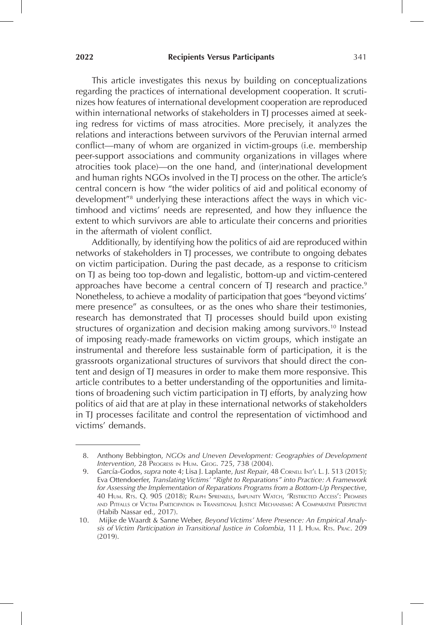This article investigates this nexus by building on conceptualizations regarding the practices of international development cooperation. It scrutinizes how features of international development cooperation are reproduced within international networks of stakeholders in TJ processes aimed at seeking redress for victims of mass atrocities. More precisely, it analyzes the relations and interactions between survivors of the Peruvian internal armed conflict—many of whom are organized in victim-groups (i.e. membership peer-support associations and community organizations in villages where atrocities took place)—on the one hand, and (inter)national development and human rights NGOs involved in the TJ process on the other. The article's central concern is how "the wider politics of aid and political economy of development<sup>"8</sup> underlying these interactions affect the ways in which victimhood and victims' needs are represented, and how they influence the extent to which survivors are able to articulate their concerns and priorities in the aftermath of violent conflict.

Additionally, by identifying how the politics of aid are reproduced within networks of stakeholders in TJ processes, we contribute to ongoing debates on victim participation. During the past decade, as a response to criticism on TJ as being too top-down and legalistic, bottom-up and victim-centered approaches have become a central concern of TJ research and practice.<sup>9</sup> Nonetheless, to achieve a modality of participation that goes "beyond victims' mere presence" as consultees, or as the ones who share their testimonies, research has demonstrated that TJ processes should build upon existing structures of organization and decision making among survivors.<sup>10</sup> Instead of imposing ready-made frameworks on victim groups, which instigate an instrumental and therefore less sustainable form of participation, it is the grassroots organizational structures of survivors that should direct the content and design of TJ measures in order to make them more responsive. This article contributes to a better understanding of the opportunities and limitations of broadening such victim participation in TJ efforts, by analyzing how politics of aid that are at play in these international networks of stakeholders in TJ processes facilitate and control the representation of victimhood and victims' demands.

 <sup>8.</sup> Anthony Bebbington, *NGOs and Uneven Development: Geographies of Development Intervention*, 28 Progress in Hum. Geog. 725, 738 (2004).

<sup>9.</sup> García-Godos, *supra* note 4; Lisa J. Laplante, *Just Repair*, 48 Cornell Int<sup>'</sup>l L. J. 513 (2015); Eva Ottendoerfer, *Translating Victims' "Right to Reparations" into Practice: A Framework for Assessing the Implementation of Reparations Programs from a Bottom-Up Perspective*, 40 Hum. Rts. Q. 905 (2018); Ralph Sprenkels, Impunity Watch, 'Restricted Access': Promises and Pitfalls of Victim Participation in Transitional Justice Mechanisms: A Comparative Perspective (Habib Nassar ed., 2017).

<sup>10.</sup> Mijke de Waardt & Sanne Weber, *Beyond Victims' Mere Presence: An Empirical Analysis of Victim Participation in Transitional Justice in Colombia*, 11 J. Hum. Rts. Prac. 209 (2019).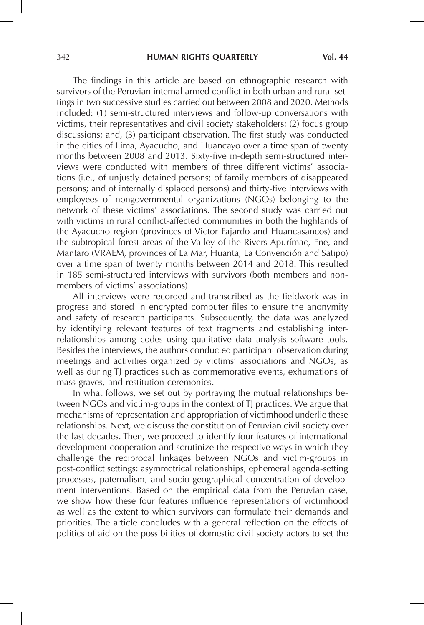The findings in this article are based on ethnographic research with survivors of the Peruvian internal armed conflict in both urban and rural settings in two successive studies carried out between 2008 and 2020. Methods included: (1) semi-structured interviews and follow-up conversations with victims, their representatives and civil society stakeholders; (2) focus group discussions; and, (3) participant observation. The first study was conducted in the cities of Lima, Ayacucho, and Huancayo over a time span of twenty months between 2008 and 2013. Sixty-five in-depth semi-structured interviews were conducted with members of three different victims' associations (i.e., of unjustly detained persons; of family members of disappeared persons; and of internally displaced persons) and thirty-five interviews with employees of nongovernmental organizations (NGOs) belonging to the network of these victims' associations. The second study was carried out with victims in rural conflict-affected communities in both the highlands of the Ayacucho region (provinces of Victor Fajardo and Huancasancos) and the subtropical forest areas of the Valley of the Rivers Apurímac, Ene, and Mantaro (VRAEM, provinces of La Mar, Huanta, La Convención and Satipo) over a time span of twenty months between 2014 and 2018. This resulted in 185 semi-structured interviews with survivors (both members and nonmembers of victims' associations).

All interviews were recorded and transcribed as the fieldwork was in progress and stored in encrypted computer files to ensure the anonymity and safety of research participants. Subsequently, the data was analyzed by identifying relevant features of text fragments and establishing interrelationships among codes using qualitative data analysis software tools. Besides the interviews, the authors conducted participant observation during meetings and activities organized by victims' associations and NGOs, as well as during TJ practices such as commemorative events, exhumations of mass graves, and restitution ceremonies.

In what follows, we set out by portraying the mutual relationships between NGOs and victim-groups in the context of TJ practices. We argue that mechanisms of representation and appropriation of victimhood underlie these relationships. Next, we discuss the constitution of Peruvian civil society over the last decades. Then, we proceed to identify four features of international development cooperation and scrutinize the respective ways in which they challenge the reciprocal linkages between NGOs and victim-groups in post-conflict settings: asymmetrical relationships, ephemeral agenda-setting processes, paternalism, and socio-geographical concentration of development interventions. Based on the empirical data from the Peruvian case, we show how these four features influence representations of victimhood as well as the extent to which survivors can formulate their demands and priorities. The article concludes with a general reflection on the effects of politics of aid on the possibilities of domestic civil society actors to set the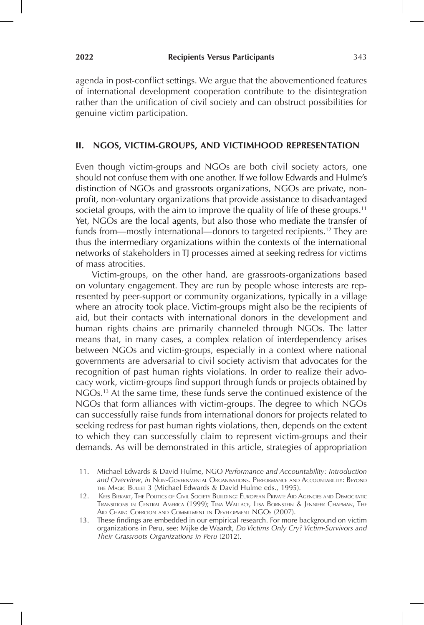agenda in post-conflict settings. We argue that the abovementioned features of international development cooperation contribute to the disintegration rather than the unification of civil society and can obstruct possibilities for genuine victim participation.

### **II. NGOS, VICTIM-GROUPS, AND VICTIMHOOD REPRESENTATION**

Even though victim-groups and NGOs are both civil society actors, one should not confuse them with one another. If we follow Edwards and Hulme's distinction of NGOs and grassroots organizations, NGOs are private, nonprofit, non-voluntary organizations that provide assistance to disadvantaged societal groups, with the aim to improve the quality of life of these groups.<sup>11</sup> Yet, NGOs are the local agents, but also those who mediate the transfer of funds from—mostly international—donors to targeted recipients.<sup>12</sup> They are thus the intermediary organizations within the contexts of the international networks of stakeholders in TJ processes aimed at seeking redress for victims of mass atrocities.

Victim-groups, on the other hand, are grassroots-organizations based on voluntary engagement. They are run by people whose interests are represented by peer-support or community organizations, typically in a village where an atrocity took place. Victim-groups might also be the recipients of aid, but their contacts with international donors in the development and human rights chains are primarily channeled through NGOs. The latter means that, in many cases, a complex relation of interdependency arises between NGOs and victim-groups, especially in a context where national governments are adversarial to civil society activism that advocates for the recognition of past human rights violations. In order to realize their advocacy work, victim-groups find support through funds or projects obtained by NGOs.13 At the same time, these funds serve the continued existence of the NGOs that form alliances with victim-groups. The degree to which NGOs can successfully raise funds from international donors for projects related to seeking redress for past human rights violations, then, depends on the extent to which they can successfully claim to represent victim-groups and their demands. As will be demonstrated in this article, strategies of appropriation

<sup>11.</sup> Michael Edwards & David Hulme, NGO *Performance and Accountability: Introduction and Overview*, *in* Non-Governmental Organisations. Performance and Accountability: Beyond the Magic Bullet 3 (Michael Edwards & David Hulme eds., 1995).

<sup>12.</sup> Kees Biekart, The Politics of Civil Society Building: European Private Aid Agencies and Democratic Transitions in Central America (1999); Tina Wallace, Lisa Bornstein & Jennifer Chapman, The AID CHAIN: COERCION AND COMMITMENT IN DEVELOPMENT NGOS (2007).

<sup>13.</sup> These findings are embedded in our empirical research. For more background on victim organizations in Peru, see: Mijke de Waardt, *Do Victims Only Cry? Victim-Survivors and Their Grassroots Organizations in Peru* (2012).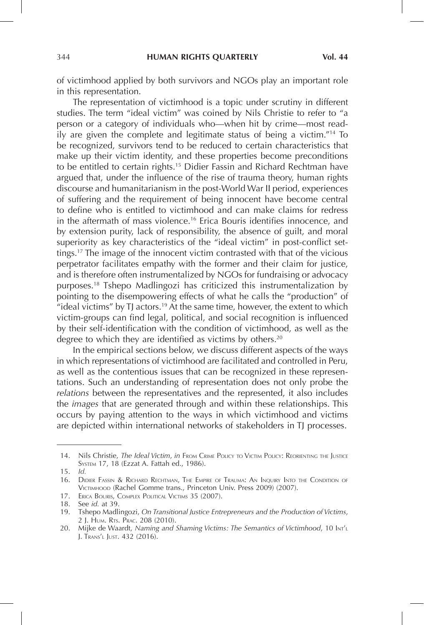of victimhood applied by both survivors and NGOs play an important role in this representation.

The representation of victimhood is a topic under scrutiny in different studies. The term "ideal victim" was coined by Nils Christie to refer to "a person or a category of individuals who—when hit by crime—most readily are given the complete and legitimate status of being a victim."14 To be recognized, survivors tend to be reduced to certain characteristics that make up their victim identity, and these properties become preconditions to be entitled to certain rights.<sup>15</sup> Didier Fassin and Richard Rechtman have argued that, under the influence of the rise of trauma theory, human rights discourse and humanitarianism in the post-World War II period, experiences of suffering and the requirement of being innocent have become central to define who is entitled to victimhood and can make claims for redress in the aftermath of mass violence.16 Erica Bouris identifies innocence, and by extension purity, lack of responsibility, the absence of guilt, and moral superiority as key characteristics of the "ideal victim" in post-conflict settings.17 The image of the innocent victim contrasted with that of the vicious perpetrator facilitates empathy with the former and their claim for justice, and is therefore often instrumentalized by NGOs for fundraising or advocacy purposes.18 Tshepo Madlingozi has criticized this instrumentalization by pointing to the disempowering effects of what he calls the "production" of "ideal victims" by TJ actors.<sup>19</sup> At the same time, however, the extent to which victim-groups can find legal, political, and social recognition is influenced by their self-identification with the condition of victimhood, as well as the degree to which they are identified as victims by others.<sup>20</sup>

In the empirical sections below, we discuss different aspects of the ways in which representations of victimhood are facilitated and controlled in Peru, as well as the contentious issues that can be recognized in these representations. Such an understanding of representation does not only probe the *relations* between the representatives and the represented, it also includes the *images* that are generated through and within these relationships. This occurs by paying attention to the ways in which victimhood and victims are depicted within international networks of stakeholders in TJ processes.

<sup>14.</sup> Nils Christie, *The Ideal Victim*, *in* From Crime Policy to Victim Policy: Reorienting the Justice System 17, 18 (Ezzat A. Fattah ed., 1986).

<sup>15.</sup> *Id.* 

<sup>16.</sup> Didier Fassin & Richard Rechtman, The Empire of Trauma: An Inquiry Into the Condition of Victimhood (Rachel Gomme trans., Princeton Univ. Press 2009) (2007).

<sup>17.</sup> Erica Bouris, Complex Political Victims 35 (2007).

<sup>18.</sup> See *id.* at 39.

<sup>19.</sup> Tshepo Madlingozi, *On Transitional Justice Entrepreneurs and the Production of Victims*, 2 J. Hum. Rts. Prac. 208 (2010).

<sup>20.</sup> Mijke de Waardt, *Naming and Shaming Victims: The Semantics of Victimhood*, 10 Int'l J. Trans'l Just. 432 (2016).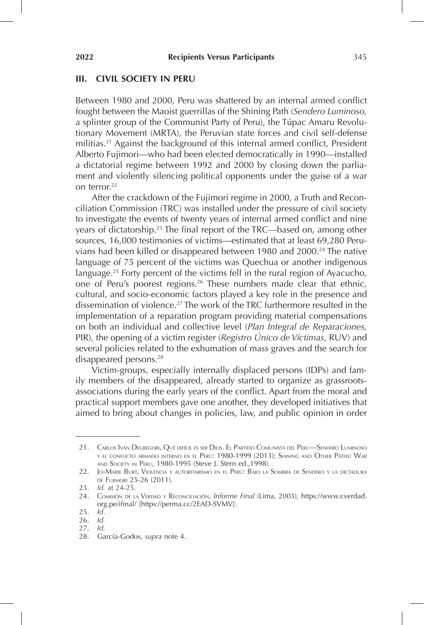#### **III. CIVIL SOCIETY IN PERU**

Between 1980 and 2000, Peru was shattered by an internal armed conflict fought between the Maoist guerrillas of the Shining Path (*Sendero Luminoso,*  a splinter group of the Communist Party of Peru), the Túpac Amaru Revolutionary Movement (MRTA), the Peruvian state forces and civil self-defense militias.21 Against the background of this internal armed conflict, President Alberto Fujimori—who had been elected democratically in 1990—installed a dictatorial regime between 1992 and 2000 by closing down the parliament and violently silencing political opponents under the guise of a war on terror.<sup>22</sup>

After the crackdown of the Fujimori regime in 2000, a Truth and Reconciliation Commission (TRC) was installed under the pressure of civil society to investigate the events of twenty years of internal armed conflict and nine years of dictatorship.23 The final report of the TRC—based on, among other sources, 16,000 testimonies of victims—estimated that at least 69,280 Peruvians had been killed or disappeared between 1980 and 2000.<sup>24</sup> The native language of 75 percent of the victims was Quechua or another indigenous language.25 Forty percent of the victims fell in the rural region of Ayacucho, one of Peru's poorest regions.<sup>26</sup> These numbers made clear that ethnic, cultural, and socio-economic factors played a key role in the presence and dissemination of violence.27 The work of the TRC furthermore resulted in the implementation of a reparation program providing material compensations on both an individual and collective level (*Plan Integral de Reparaciones,*  PIR), the opening of a victim register (*Registro Único de Víctimas*, RUV) and several policies related to the exhumation of mass graves and the search for disappeared persons.28

Victim-groups, especially internally displaced persons (IDPs) and family members of the disappeared, already started to organize as grassrootsassociations during the early years of the conflict. Apart from the moral and practical support members gave one another, they developed initiatives that aimed to bring about changes in policies, law, and public opinion in order

27. *Id.* 

<sup>21.</sup> Carlos Iván Degregori, Qué difícil es ser Dios. El Partido Comunista del Perú—Sendero Luminoso <sup>y</sup> el conflicto armado interno en el Perú: 1980-1999 (2013); Shining and Other Paths: War and Society in Peru, 1980-1995 (Steve J. Stern ed.,1998).

<sup>22.</sup> Jo-Marie Burt, Violencia <sup>y</sup> autoritarismo en el Perú: Bajo la Sombra de Sendero <sup>y</sup> la dictadura de Fujimori 25-26 (2011).

<sup>23.</sup> *Id.* at 24-25.

<sup>24.</sup> Comisión de la Verdad <sup>y</sup> Reconciliación, *Informe Final* (Lima, 2003), https://www.cverdad. org.pe/ifinal/ [https://perma.cc/2EAD-SVMV].

<sup>25.</sup> *Id*.

<sup>26.</sup> *Id.*

<sup>28.</sup> García-Godos, *supra* note 4.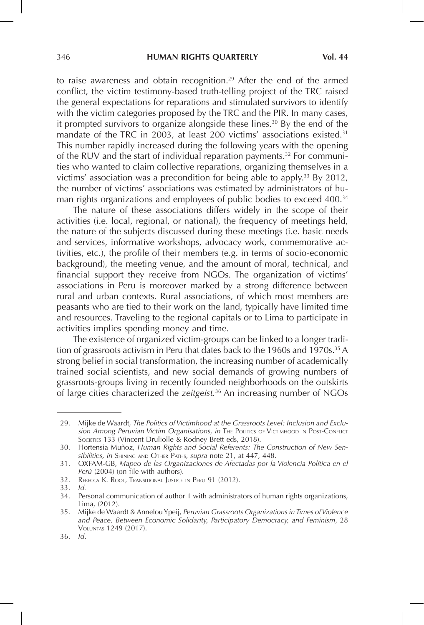to raise awareness and obtain recognition.<sup>29</sup> After the end of the armed conflict, the victim testimony-based truth-telling project of the TRC raised the general expectations for reparations and stimulated survivors to identify with the victim categories proposed by the TRC and the PIR. In many cases, it prompted survivors to organize alongside these lines.<sup>30</sup> By the end of the mandate of the TRC in 2003, at least 200 victims' associations existed.<sup>31</sup> This number rapidly increased during the following years with the opening of the RUV and the start of individual reparation payments.<sup>32</sup> For communities who wanted to claim collective reparations, organizing themselves in a victims' association was a precondition for being able to apply.33 By 2012, the number of victims' associations was estimated by administrators of human rights organizations and employees of public bodies to exceed 400.<sup>34</sup>

The nature of these associations differs widely in the scope of their activities (i.e. local, regional, or national), the frequency of meetings held, the nature of the subjects discussed during these meetings (i.e. basic needs and services, informative workshops, advocacy work, commemorative activities, etc.), the profile of their members (e.g. in terms of socio-economic background), the meeting venue, and the amount of moral, technical, and financial support they receive from NGOs. The organization of victims' associations in Peru is moreover marked by a strong difference between rural and urban contexts. Rural associations, of which most members are peasants who are tied to their work on the land, typically have limited time and resources. Traveling to the regional capitals or to Lima to participate in activities implies spending money and time.

The existence of organized victim-groups can be linked to a longer tradition of grassroots activism in Peru that dates back to the 1960s and 1970s.<sup>35</sup> A strong belief in social transformation, the increasing number of academically trained social scientists, and new social demands of growing numbers of grassroots-groups living in recently founded neighborhoods on the outskirts of large cities characterized the *zeitgeist.*36 An increasing number of NGOs

<sup>29.</sup> Mijke de Waardt, *The Politics of Victimhood at the Grassroots Level: Inclusion and Exclusion Among Peruvian Victim Organisations, in* The Politics of Victimhood in Post-Conflict SOCIETIES 133 (Vincent Druliolle & Rodney Brett eds, 2018).

<sup>30.</sup> Hortensia Muñoz, *Human Rights and Social Referents: The Construction of New Sensibilities, in* Shining and Other Paths, *supra* note 21, at 447, 448.

<sup>31.</sup> OXFAM-GB, *Mapeo de las Organizaciones de Afectadas por la Violencia Política en el Perú* (2004) (on file with authors).

<sup>32.</sup> Rebecca K. Root, Transitional Justice in Peru 91 (2012).

<sup>33.</sup> *Id.*

<sup>34.</sup> Personal communication of author 1 with administrators of human rights organizations, Lima, (2012).

<sup>35.</sup> Mijke de Waardt & Annelou Ypeij, *Peruvian Grassroots Organizations in Times of Violence and Peace. Between Economic Solidarity, Participatory Democracy, and Feminism*, 28 Voluntas 1249 (2017).

<sup>36.</sup> *Id*.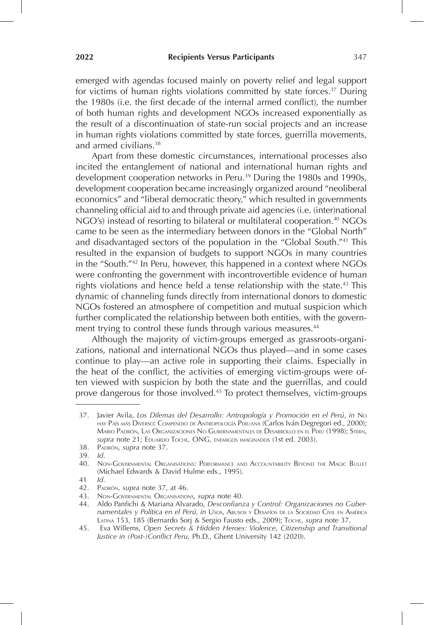emerged with agendas focused mainly on poverty relief and legal support for victims of human rights violations committed by state forces.<sup>37</sup> During the 1980s (i.e. the first decade of the internal armed conflict), the number of both human rights and development NGOs increased exponentially as the result of a discontinuation of state-run social projects and an increase in human rights violations committed by state forces, guerrilla movements, and armed civilians.38

Apart from these domestic circumstances, international processes also incited the entanglement of national and international human rights and development cooperation networks in Peru.<sup>39</sup> During the 1980s and 1990s, development cooperation became increasingly organized around "neoliberal economics" and "liberal democratic theory," which resulted in governments channeling official aid to and through private aid agencies (i.e. (inter)national NGO's) instead of resorting to bilateral or multilateral cooperation.<sup>40</sup> NGOs came to be seen as the intermediary between donors in the "Global North" and disadvantaged sectors of the population in the "Global South."41 This resulted in the expansion of budgets to support NGOs in many countries in the "South."42 In Peru, however, this happened in a context where NGOs were confronting the government with incontrovertible evidence of human rights violations and hence held a tense relationship with the state.<sup>43</sup> This dynamic of channeling funds directly from international donors to domestic NGOs fostered an atmosphere of competition and mutual suspicion which further complicated the relationship between both entities, with the government trying to control these funds through various measures.<sup>44</sup>

Although the majority of victim-groups emerged as grassroots-organizations, national and international NGOs thus played—and in some cases continue to play—an active role in supporting their claims. Especially in the heat of the conflict, the activities of emerging victim-groups were often viewed with suspicion by both the state and the guerrillas, and could prove dangerous for those involved.45 To protect themselves, victim-groups

<sup>37.</sup> Javier Avila, *Los Dilemas del Desarrollo: Antropología y Promoción en el Perú*, *in* No hay País más Diverso: Compendio de Antropología Peruana (Carlos Iván Degregori ed., 2000); Mario Padrón, Las Organizaciones No Gubernamentales de Desarrollo en el Perú (1998); Stern, *supra* note 21; Eduardo Toche, ONG, enemigos imaginados (1st ed. 2003).

<sup>38.</sup> Padrón, *supra* note 37.

<sup>39.</sup> *Id*.

<sup>40.</sup> Non-Governmental Organisations: Performance and Accountability Beyond the Magic Bullet (Michael Edwards & David Hulme eds., 1995).

<sup>41</sup> *Id*.

<sup>42.</sup> Padrón, *supra* note 37, at 46.

<sup>43.</sup> Non-Governmental Organisations, *supra* note 40.

<sup>44.</sup> Aldo Panfichi & Mariana Alvarado, *Desconfianza y Control: Organizaciones no Gubernamentales y Política en el Perú*, *in* Usos, Abusos <sup>y</sup> Desafíos de la Sociedad Civil en América Latina 153, 185 (Bernardo Sorj & Sergio Fausto eds., 2009); Toche, *supra* note 37.

<sup>45.</sup> Eva Willems, *Open Secrets & Hidden Heroes: Violence, Citizenship and Transitional Justice in (Post-)Conflict Peru,* Ph.D., Ghent University 142 (2020).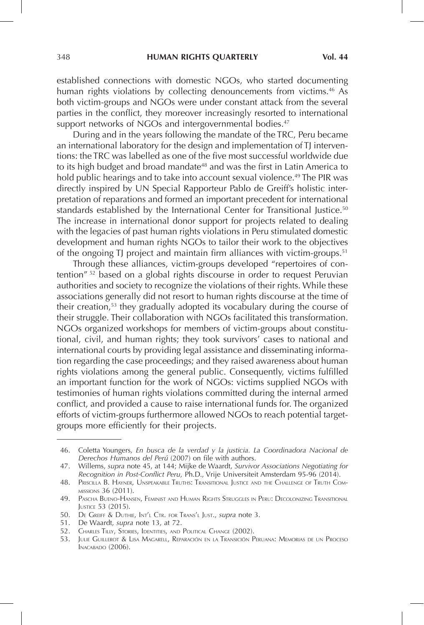established connections with domestic NGOs, who started documenting human rights violations by collecting denouncements from victims.<sup>46</sup> As both victim-groups and NGOs were under constant attack from the several parties in the conflict, they moreover increasingly resorted to international support networks of NGOs and intergovernmental bodies.<sup>47</sup>

During and in the years following the mandate of the TRC, Peru became an international laboratory for the design and implementation of TJ interventions: the TRC was labelled as one of the five most successful worldwide due to its high budget and broad mandate<sup>48</sup> and was the first in Latin America to hold public hearings and to take into account sexual violence.<sup>49</sup> The PIR was directly inspired by UN Special Rapporteur Pablo de Greiff's holistic interpretation of reparations and formed an important precedent for international standards established by the International Center for Transitional Justice.<sup>50</sup> The increase in international donor support for projects related to dealing with the legacies of past human rights violations in Peru stimulated domestic development and human rights NGOs to tailor their work to the objectives of the ongoing TJ project and maintain firm alliances with victim-groups.<sup>51</sup>

Through these alliances, victim-groups developed "repertoires of contention"<sup>52</sup> based on a global rights discourse in order to request Peruvian authorities and society to recognize the violations of their rights. While these associations generally did not resort to human rights discourse at the time of their creation,53 they gradually adopted its vocabulary during the course of their struggle. Their collaboration with NGOs facilitated this transformation. NGOs organized workshops for members of victim-groups about constitutional, civil, and human rights; they took survivors' cases to national and international courts by providing legal assistance and disseminating information regarding the case proceedings; and they raised awareness about human rights violations among the general public. Consequently, victims fulfilled an important function for the work of NGOs: victims supplied NGOs with testimonies of human rights violations committed during the internal armed conflict, and provided a cause to raise international funds for. The organized efforts of victim-groups furthermore allowed NGOs to reach potential targetgroups more efficiently for their projects.

<sup>46.</sup> Coletta Youngers, *En busca de la verdad y la justicia. La Coordinadora Nacional de Derechos Humanos del Perú* (2007) on file with authors.

<sup>47.</sup> Willems, *supra* note 45, at 144; Mijke de Waardt, *Survivor Associations Negotiating for Recognition in Post-Conflict Peru*, Ph.D., Vrije Universiteit Amsterdam 95-96 (2014).

<sup>48.</sup> Priscilla B. Hayner, Unspeakable Truths: Transitional Justice and the Challenge of Truth Commissions 36 (2011).

<sup>49.</sup> Pascha Bueno-Hansen, Feminist and Human Rights Struggles in Peru: Decolonizing Transitional Justice 53 (2015).

<sup>50.</sup> De Greiff & Duthie, Int'l Ctr. for Trans'l Just., *supra* note 3.

<sup>51.</sup> De Waardt, *supra* note 13, at 72.

<sup>52.</sup> Charles Tilly, Stories, Identities, and Political Change (2002).

<sup>53.</sup> Julie Guillerot & Lisa Magarell, Reparación en la Transición Peruana: Memorias de un Proceso Inacabado (2006).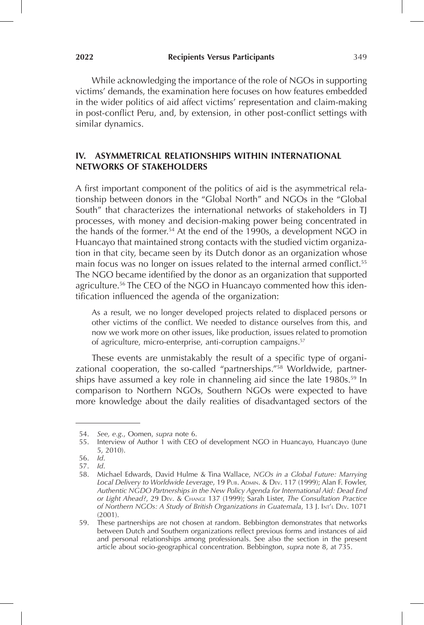While acknowledging the importance of the role of NGOs in supporting victims' demands, the examination here focuses on how features embedded in the wider politics of aid affect victims' representation and claim-making in post-conflict Peru, and, by extension, in other post-conflict settings with similar dynamics.

# **IV. ASYMMETRICAL RELATIONSHIPS WITHIN INTERNATIONAL NETWORKS OF STAKEHOLDERS**

A first important component of the politics of aid is the asymmetrical relationship between donors in the "Global North" and NGOs in the "Global South" that characterizes the international networks of stakeholders in TJ processes, with money and decision-making power being concentrated in the hands of the former.<sup>54</sup> At the end of the 1990s, a development NGO in Huancayo that maintained strong contacts with the studied victim organization in that city, became seen by its Dutch donor as an organization whose main focus was no longer on issues related to the internal armed conflict.<sup>55</sup> The NGO became identified by the donor as an organization that supported agriculture.56 The CEO of the NGO in Huancayo commented how this identification influenced the agenda of the organization:

As a result, we no longer developed projects related to displaced persons or other victims of the conflict. We needed to distance ourselves from this, and now we work more on other issues, like production, issues related to promotion of agriculture, micro-enterprise, anti-corruption campaigns.57

These events are unmistakably the result of a specific type of organizational cooperation, the so-called "partnerships."58 Worldwide, partnerships have assumed a key role in channeling aid since the late  $1980s.^{59}$  In comparison to Northern NGOs, Southern NGOs were expected to have more knowledge about the daily realities of disadvantaged sectors of the

<sup>54.</sup> *See, e.g*., Oomen, *supra* note 6.

<sup>55.</sup> Interview of Author 1 with CEO of development NGO in Huancayo, Huancayo (June 5, 2010).

<sup>56.</sup> *Id*.

<sup>57.</sup> *Id*.

<sup>58.</sup> Michael Edwards, David Hulme & Tina Wallace, *NGOs in a Global Future: Marrying Local Delivery to Worldwide Leverage*, 19 Pub. Admin. & Dev. 117 (1999); Alan F. Fowler, *Authentic NGDO Partnerships in the New Policy Agenda for International Aid: Dead End or Light Ahead?*, 29 Dev. & Change 137 (1999); Sarah Lister, *The Consultation Practice of Northern NGOs: A Study of British Organizations in Guatemala*, 13 J. Int'l Dev. 1071 (2001).

<sup>59.</sup> These partnerships are not chosen at random. Bebbington demonstrates that networks between Dutch and Southern organizations reflect previous forms and instances of aid and personal relationships among professionals. See also the section in the present article about socio-geographical concentration. Bebbington, *supra* note 8, at 735.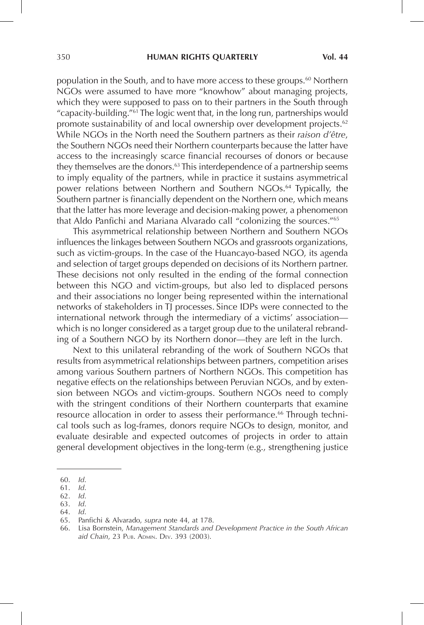population in the South, and to have more access to these groups.60 Northern NGOs were assumed to have more "knowhow" about managing projects, which they were supposed to pass on to their partners in the South through "capacity-building."61 The logic went that, in the long run, partnerships would promote sustainability of and local ownership over development projects.<sup>62</sup> While NGOs in the North need the Southern partners as their *raison d'être*, the Southern NGOs need their Northern counterparts because the latter have access to the increasingly scarce financial recourses of donors or because they themselves are the donors.<sup>63</sup> This interdependence of a partnership seems to imply equality of the partners, while in practice it sustains asymmetrical power relations between Northern and Southern NGOs. 64 Typically, the Southern partner is financially dependent on the Northern one, which means that the latter has more leverage and decision-making power, a phenomenon that Aldo Panfichi and Mariana Alvarado call "colonizing the sources."<sup>65</sup>

This asymmetrical relationship between Northern and Southern NGOs influences the linkages between Southern NGOs and grassroots organizations, such as victim-groups. In the case of the Huancayo-based NGO, its agenda and selection of target groups depended on decisions of its Northern partner. These decisions not only resulted in the ending of the formal connection between this NGO and victim-groups, but also led to displaced persons and their associations no longer being represented within the international networks of stakeholders in TJ processes. Since IDPs were connected to the international network through the intermediary of a victims' association which is no longer considered as a target group due to the unilateral rebranding of a Southern NGO by its Northern donor—they are left in the lurch.

Next to this unilateral rebranding of the work of Southern NGOs that results from asymmetrical relationships between partners, competition arises among various Southern partners of Northern NGOs. This competition has negative effects on the relationships between Peruvian NGOs, and by extension between NGOs and victim-groups. Southern NGOs need to comply with the stringent conditions of their Northern counterparts that examine resource allocation in order to assess their performance.<sup>66</sup> Through technical tools such as log-frames, donors require NGOs to design, monitor, and evaluate desirable and expected outcomes of projects in order to attain general development objectives in the long-term (e.g., strengthening justice

<sup>60.</sup> *Id*.

<sup>61.</sup> *Id*.

<sup>62.</sup> *Id*.

<sup>63.</sup> *Id*.

<sup>64.</sup> *Id*.

<sup>65.</sup> Panfichi & Alvarado, *supra* note 44, at 178.

<sup>66.</sup> Lisa Bornstein, *Management Standards and Development Practice in the South African*  aid Chain, 23 PUB. ADMIN. DEV. 393 (2003).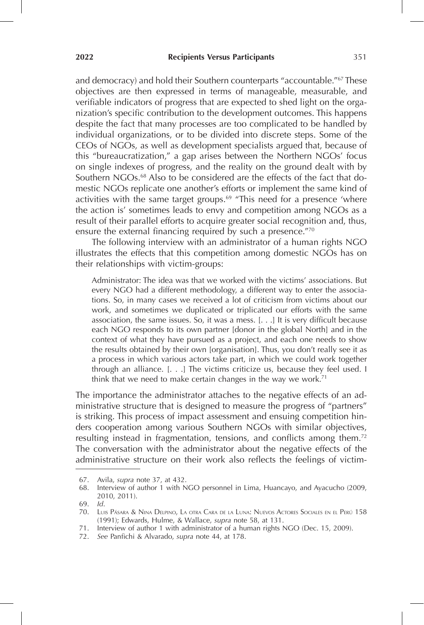and democracy) and hold their Southern counterparts "accountable."67 These objectives are then expressed in terms of manageable, measurable, and verifiable indicators of progress that are expected to shed light on the organization's specific contribution to the development outcomes. This happens despite the fact that many processes are too complicated to be handled by individual organizations, or to be divided into discrete steps. Some of the CEOs of NGOs, as well as development specialists argued that, because of this "bureaucratization," a gap arises between the Northern NGOs' focus on single indexes of progress, and the reality on the ground dealt with by Southern NGOs.<sup>68</sup> Also to be considered are the effects of the fact that domestic NGOs replicate one another's efforts or implement the same kind of activities with the same target groups.<sup>69</sup> "This need for a presence 'where the action is' sometimes leads to envy and competition among NGOs as a result of their parallel efforts to acquire greater social recognition and, thus, ensure the external financing required by such a presence."70

The following interview with an administrator of a human rights NGO illustrates the effects that this competition among domestic NGOs has on their relationships with victim-groups:

Administrator: The idea was that we worked with the victims' associations. But every NGO had a different methodology, a different way to enter the associations. So, in many cases we received a lot of criticism from victims about our work, and sometimes we duplicated or triplicated our efforts with the same association, the same issues. So, it was a mess. [. . .] It is very difficult because each NGO responds to its own partner [donor in the global North] and in the context of what they have pursued as a project, and each one needs to show the results obtained by their own [organisation]. Thus, you don't really see it as a process in which various actors take part, in which we could work together through an alliance. [. . .] The victims criticize us, because they feel used. I think that we need to make certain changes in the way we work.<sup>71</sup>

The importance the administrator attaches to the negative effects of an administrative structure that is designed to measure the progress of "partners" is striking. This process of impact assessment and ensuing competition hinders cooperation among various Southern NGOs with similar objectives, resulting instead in fragmentation, tensions, and conflicts among them.<sup>72</sup> The conversation with the administrator about the negative effects of the administrative structure on their work also reflects the feelings of victim-

<sup>67.</sup> Avila, *supra* note 37, at 432.

<sup>68.</sup> Interview of author 1 with NGO personnel in Lima, Huancayo, and Ayacucho (2009, 2010, 2011).

<sup>69.</sup> *Id*.

<sup>70.</sup> Luis Pásara & Nina Delpino, La otra Cara de la Luna: Nuevos Actores Sociales en el Perú 158 (1991); Edwards, Hulme, & Wallace, *supra* note 58, at 131.

<sup>71.</sup> Interview of author 1 with administrator of a human rights NGO (Dec. 15, 2009).

<sup>72.</sup> *See* Panfichi & Alvarado, *supra* note 44, at 178.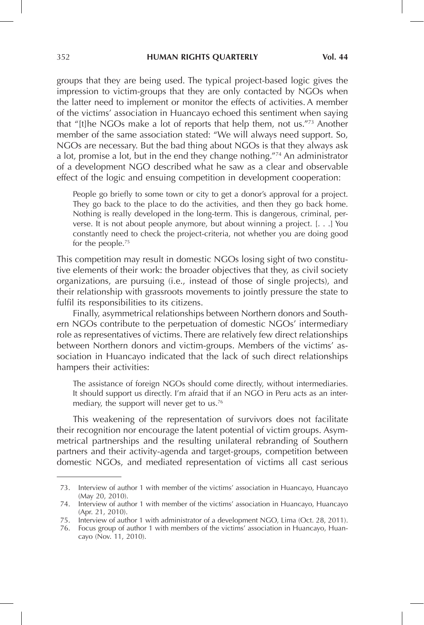groups that they are being used. The typical project-based logic gives the impression to victim-groups that they are only contacted by NGOs when the latter need to implement or monitor the effects of activities. A member of the victims' association in Huancayo echoed this sentiment when saying that "[t]he NGOs make a lot of reports that help them, not us."73 Another member of the same association stated: "We will always need support. So, NGOs are necessary. But the bad thing about NGOs is that they always ask a lot, promise a lot, but in the end they change nothing."74 An administrator of a development NGO described what he saw as a clear and observable effect of the logic and ensuing competition in development cooperation:

People go briefly to some town or city to get a donor's approval for a project. They go back to the place to do the activities, and then they go back home. Nothing is really developed in the long-term. This is dangerous, criminal, perverse. It is not about people anymore, but about winning a project. [. . .] You constantly need to check the project-criteria, not whether you are doing good for the people.<sup>75</sup>

This competition may result in domestic NGOs losing sight of two constitutive elements of their work: the broader objectives that they, as civil society organizations, are pursuing (i.e., instead of those of single projects), and their relationship with grassroots movements to jointly pressure the state to fulfil its responsibilities to its citizens.

Finally, asymmetrical relationships between Northern donors and Southern NGOs contribute to the perpetuation of domestic NGOs' intermediary role as representatives of victims. There are relatively few direct relationships between Northern donors and victim-groups. Members of the victims' association in Huancayo indicated that the lack of such direct relationships hampers their activities:

The assistance of foreign NGOs should come directly, without intermediaries. It should support us directly. I'm afraid that if an NGO in Peru acts as an intermediary, the support will never get to us.<sup>76</sup>

This weakening of the representation of survivors does not facilitate their recognition nor encourage the latent potential of victim groups. Asymmetrical partnerships and the resulting unilateral rebranding of Southern partners and their activity-agenda and target-groups, competition between domestic NGOs, and mediated representation of victims all cast serious

<sup>73.</sup> Interview of author 1 with member of the victims' association in Huancayo, Huancayo (May 20, 2010).

<sup>74.</sup> Interview of author 1 with member of the victims' association in Huancayo, Huancayo (Apr. 21, 2010).

<sup>75.</sup> Interview of author 1 with administrator of a development NGO, Lima (Oct. 28, 2011).

<sup>76.</sup> Focus group of author 1 with members of the victims' association in Huancayo, Huancayo (Nov. 11, 2010).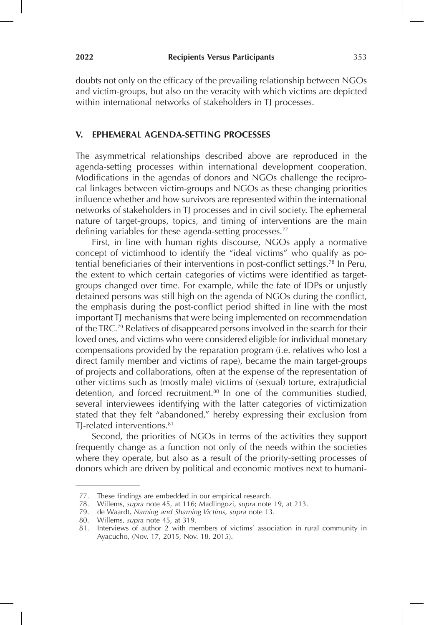doubts not only on the efficacy of the prevailing relationship between NGOs and victim-groups, but also on the veracity with which victims are depicted within international networks of stakeholders in TJ processes.

#### **V. EPHEMERAL AGENDA-SETTING PROCESSES**

The asymmetrical relationships described above are reproduced in the agenda-setting processes within international development cooperation. Modifications in the agendas of donors and NGOs challenge the reciprocal linkages between victim-groups and NGOs as these changing priorities influence whether and how survivors are represented within the international networks of stakeholders in TJ processes and in civil society. The ephemeral nature of target-groups, topics, and timing of interventions are the main defining variables for these agenda-setting processes.<sup>77</sup>

First, in line with human rights discourse, NGOs apply a normative concept of victimhood to identify the "ideal victims" who qualify as potential beneficiaries of their interventions in post-conflict settings.<sup>78</sup> In Peru, the extent to which certain categories of victims were identified as targetgroups changed over time. For example, while the fate of IDPs or unjustly detained persons was still high on the agenda of NGOs during the conflict, the emphasis during the post-conflict period shifted in line with the most important TJ mechanisms that were being implemented on recommendation of the TRC.79 Relatives of disappeared persons involved in the search for their loved ones, and victims who were considered eligible for individual monetary compensations provided by the reparation program (i.e. relatives who lost a direct family member and victims of rape), became the main target-groups of projects and collaborations, often at the expense of the representation of other victims such as (mostly male) victims of (sexual) torture, extrajudicial detention, and forced recruitment.<sup>80</sup> In one of the communities studied, several interviewees identifying with the latter categories of victimization stated that they felt "abandoned," hereby expressing their exclusion from TI-related interventions 81

Second, the priorities of NGOs in terms of the activities they support frequently change as a function not only of the needs within the societies where they operate, but also as a result of the priority-setting processes of donors which are driven by political and economic motives next to humani-

<sup>77.</sup> These findings are embedded in our empirical research.

<sup>78.</sup> Willems, *supra* note 45, at 116; Madlingozi, *supra* note 19, at 213.

<sup>79.</sup> de Waardt, *Naming and Shaming Victims, supra* note 13.

<sup>80.</sup> Willems, *supra* note 45, at 319.

<sup>81.</sup> Interviews of author 2 with members of victims' association in rural community in Ayacucho, (Nov. 17, 2015, Nov. 18, 2015).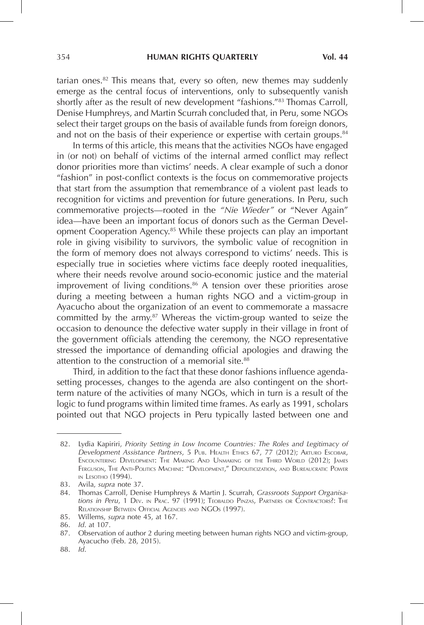tarian ones. $82$  This means that, every so often, new themes may suddenly emerge as the central focus of interventions, only to subsequently vanish shortly after as the result of new development "fashions."83 Thomas Carroll, Denise Humphreys, and Martin Scurrah concluded that, in Peru, some NGOs select their target groups on the basis of available funds from foreign donors, and not on the basis of their experience or expertise with certain groups. $84$ 

In terms of this article, this means that the activities NGOs have engaged in (or not) on behalf of victims of the internal armed conflict may reflect donor priorities more than victims' needs. A clear example of such a donor "fashion" in post-conflict contexts is the focus on commemorative projects that start from the assumption that remembrance of a violent past leads to recognition for victims and prevention for future generations. In Peru, such commemorative projects—rooted in the *"Nie Wieder"* or "Never Again" idea—have been an important focus of donors such as the German Development Cooperation Agency.85 While these projects can play an important role in giving visibility to survivors, the symbolic value of recognition in the form of memory does not always correspond to victims' needs. This is especially true in societies where victims face deeply rooted inequalities, where their needs revolve around socio-economic justice and the material improvement of living conditions.<sup>86</sup> A tension over these priorities arose during a meeting between a human rights NGO and a victim-group in Ayacucho about the organization of an event to commemorate a massacre committed by the army. $87$  Whereas the victim-group wanted to seize the occasion to denounce the defective water supply in their village in front of the government officials attending the ceremony, the NGO representative stressed the importance of demanding official apologies and drawing the attention to the construction of a memorial site.<sup>88</sup>

Third, in addition to the fact that these donor fashions influence agendasetting processes, changes to the agenda are also contingent on the shortterm nature of the activities of many NGOs, which in turn is a result of the logic to fund programs within limited time frames. As early as 1991, scholars pointed out that NGO projects in Peru typically lasted between one and

<sup>82.</sup> Lydia Kapiriri, *Priority Setting in Low Income Countries: The Roles and Legitimacy of Development Assistance Partners*, 5 Pub. Health Ethics 67, 77 (2012); Arturo Escobar, Encountering Development: The Making And Unmaking of the Third World (2012); James Ferguson, The Anti-Politics Machine: "Development," Depoliticization, and Bureaucratic Power in Lesotho (1994).

<sup>83.</sup> Avila, *supra* note 37.

<sup>84.</sup> Thomas Carroll, Denise Humphreys & Martin J. Scurrah, *Grassroots Support Organisations in Peru*, 1 Dev. in Prac. 97 (1991); Teobaldo Pinzas, Partners or Contractors?: The Relationship Between Official Agencies and NGOs (1997).

<sup>85.</sup> Willems, *supra* note 45, at 167.

<sup>86.</sup> *Id*. at 107.

<sup>87.</sup> Observation of author 2 during meeting between human rights NGO and victim-group, Ayacucho (Feb. 28, 2015).

<sup>88.</sup> *Id*.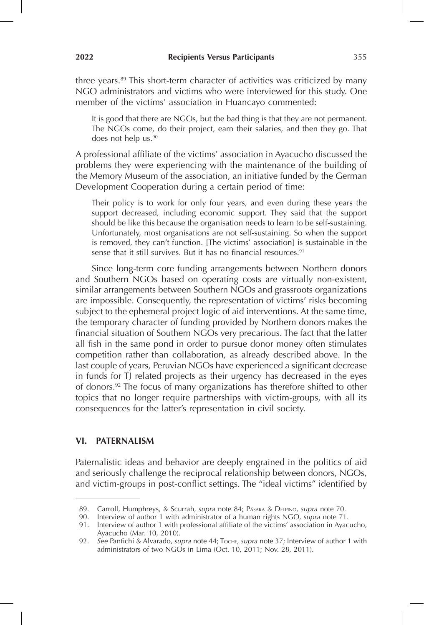three years.<sup>89</sup> This short-term character of activities was criticized by many NGO administrators and victims who were interviewed for this study. One member of the victims' association in Huancayo commented:

It is good that there are NGOs, but the bad thing is that they are not permanent. The NGOs come, do their project, earn their salaries, and then they go. That does not help us.<sup>90</sup>

A professional affiliate of the victims' association in Ayacucho discussed the problems they were experiencing with the maintenance of the building of the Memory Museum of the association, an initiative funded by the German Development Cooperation during a certain period of time:

Their policy is to work for only four years, and even during these years the support decreased, including economic support. They said that the support should be like this because the organisation needs to learn to be self-sustaining. Unfortunately, most organisations are not self-sustaining. So when the support is removed, they can't function. [The victims' association] is sustainable in the sense that it still survives. But it has no financial resources.<sup>91</sup>

Since long-term core funding arrangements between Northern donors and Southern NGOs based on operating costs are virtually non-existent, similar arrangements between Southern NGOs and grassroots organizations are impossible. Consequently, the representation of victims' risks becoming subject to the ephemeral project logic of aid interventions. At the same time, the temporary character of funding provided by Northern donors makes the financial situation of Southern NGOs very precarious. The fact that the latter all fish in the same pond in order to pursue donor money often stimulates competition rather than collaboration, as already described above. In the last couple of years, Peruvian NGOs have experienced a significant decrease in funds for TJ related projects as their urgency has decreased in the eyes of donors.92 The focus of many organizations has therefore shifted to other topics that no longer require partnerships with victim-groups, with all its consequences for the latter's representation in civil society.

# **VI. PATERNALISM**

Paternalistic ideas and behavior are deeply engrained in the politics of aid and seriously challenge the reciprocal relationship between donors, NGOs, and victim-groups in post-conflict settings. The "ideal victims" identified by

<sup>89.</sup> Carroll, Humphreys, & Scurrah, *supra* note 84; Pásara & Delpino, *supra* note 70.

<sup>90.</sup> Interview of author 1 with administrator of a human rights NGO, *supra* note 71.

<sup>91.</sup> Interview of author 1 with professional affiliate of the victims' association in Ayacucho, Ayacucho (Mar. 10, 2010).

<sup>92.</sup> *See* Panfichi & Alvarado, *supra* note 44; Toche, *supra* note 37; Interview of author 1 with administrators of two NGOs in Lima (Oct. 10, 2011; Nov. 28, 2011).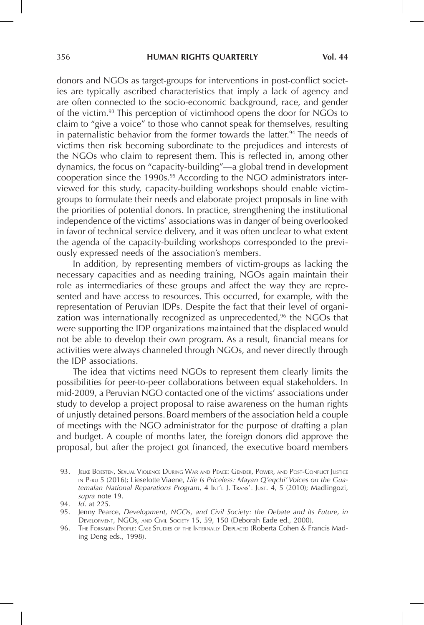donors and NGOs as target-groups for interventions in post-conflict societies are typically ascribed characteristics that imply a lack of agency and are often connected to the socio-economic background, race, and gender of the victim.93 This perception of victimhood opens the door for NGOs to claim to "give a voice" to those who cannot speak for themselves, resulting in paternalistic behavior from the former towards the latter.<sup>94</sup> The needs of victims then risk becoming subordinate to the prejudices and interests of the NGOs who claim to represent them. This is reflected in, among other dynamics, the focus on "capacity-building"—a global trend in development cooperation since the 1990s.<sup>95</sup> According to the NGO administrators interviewed for this study, capacity-building workshops should enable victimgroups to formulate their needs and elaborate project proposals in line with the priorities of potential donors. In practice, strengthening the institutional independence of the victims' associations was in danger of being overlooked in favor of technical service delivery, and it was often unclear to what extent the agenda of the capacity-building workshops corresponded to the previously expressed needs of the association's members.

In addition, by representing members of victim-groups as lacking the necessary capacities and as needing training, NGOs again maintain their role as intermediaries of these groups and affect the way they are represented and have access to resources. This occurred, for example, with the representation of Peruvian IDPs. Despite the fact that their level of organization was internationally recognized as unprecedented, $96$  the NGOs that were supporting the IDP organizations maintained that the displaced would not be able to develop their own program. As a result, financial means for activities were always channeled through NGOs, and never directly through the IDP associations.

The idea that victims need NGOs to represent them clearly limits the possibilities for peer-to-peer collaborations between equal stakeholders. In mid-2009, a Peruvian NGO contacted one of the victims' associations under study to develop a project proposal to raise awareness on the human rights of unjustly detained persons.Board members of the association held a couple of meetings with the NGO administrator for the purpose of drafting a plan and budget. A couple of months later, the foreign donors did approve the proposal, but after the project got financed, the executive board members

<sup>93.</sup> Jelke Boesten, Sexual Violence During War and Peace: Gender, Power, and Post-Conflict Justice in Peru 5 (2016); Lieselotte Viaene, *Life Is Priceless: Mayan Q'eqchi' Voices on the Guatemalan National Reparations Program*, 4 Int'l J. Trans'l Just. 4, 5 (2010); Madlingozi, *supra* note 19.

<sup>94.</sup> *Id*. at 225.

<sup>95.</sup> Jenny Pearce, *Development, NGOs, and Civil Society: the Debate and its Future, in* Development, NGOs, and Civil Society 15, 59, 150 (Deborah Eade ed., 2000).

<sup>96.</sup> The Forsaken People: Case Studies of the Internally Displaced (Roberta Cohen & Francis Mading Deng eds., 1998).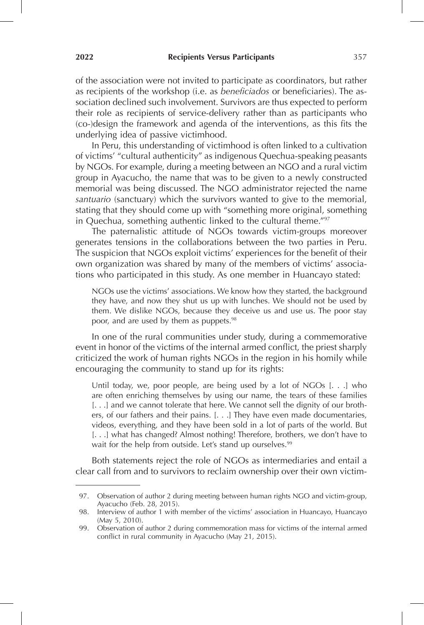of the association were not invited to participate as coordinators, but rather as recipients of the workshop (i.e. as *beneficiados* or beneficiaries). The association declined such involvement. Survivors are thus expected to perform their role as recipients of service-delivery rather than as participants who (co-)design the framework and agenda of the interventions, as this fits the underlying idea of passive victimhood.

In Peru, this understanding of victimhood is often linked to a cultivation of victims' "cultural authenticity" as indigenous Quechua-speaking peasants by NGOs. For example, during a meeting between an NGO and a rural victim group in Ayacucho, the name that was to be given to a newly constructed memorial was being discussed. The NGO administrator rejected the name *santuario* (sanctuary) which the survivors wanted to give to the memorial, stating that they should come up with "something more original, something in Quechua, something authentic linked to the cultural theme."97

The paternalistic attitude of NGOs towards victim-groups moreover generates tensions in the collaborations between the two parties in Peru. The suspicion that NGOs exploit victims' experiences for the benefit of their own organization was shared by many of the members of victims' associations who participated in this study. As one member in Huancayo stated:

NGOs use the victims' associations. We know how they started, the background they have, and now they shut us up with lunches. We should not be used by them. We dislike NGOs, because they deceive us and use us. The poor stay poor, and are used by them as puppets.<sup>98</sup>

In one of the rural communities under study, during a commemorative event in honor of the victims of the internal armed conflict, the priest sharply criticized the work of human rights NGOs in the region in his homily while encouraging the community to stand up for its rights:

Until today, we, poor people, are being used by a lot of NGOs [. . .] who are often enriching themselves by using our name, the tears of these families [. . .] and we cannot tolerate that here. We cannot sell the dignity of our brothers, of our fathers and their pains. [. . .] They have even made documentaries, videos, everything, and they have been sold in a lot of parts of the world. But [. . .] what has changed? Almost nothing! Therefore, brothers, we don't have to wait for the help from outside. Let's stand up ourselves.<sup>99</sup>

Both statements reject the role of NGOs as intermediaries and entail a clear call from and to survivors to reclaim ownership over their own victim-

<sup>97.</sup> Observation of author 2 during meeting between human rights NGO and victim-group, Ayacucho (Feb. 28, 2015).

<sup>98.</sup> Interview of author 1 with member of the victims' association in Huancayo, Huancayo (May 5, 2010).

<sup>99.</sup> Observation of author 2 during commemoration mass for victims of the internal armed conflict in rural community in Ayacucho (May 21, 2015).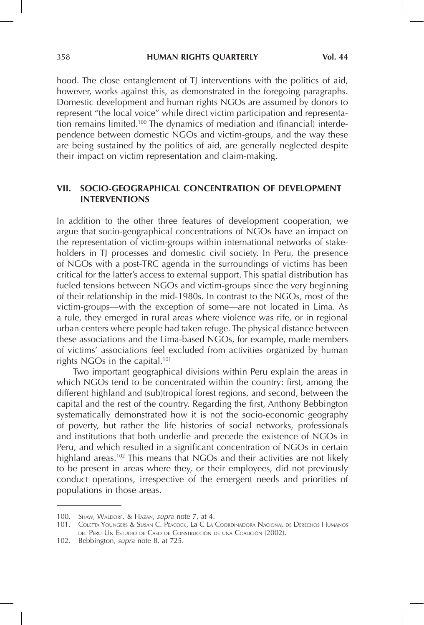hood. The close entanglement of TJ interventions with the politics of aid, however, works against this, as demonstrated in the foregoing paragraphs. Domestic development and human rights NGOs are assumed by donors to represent "the local voice" while direct victim participation and representation remains limited.<sup>100</sup> The dynamics of mediation and (financial) interdependence between domestic NGOs and victim-groups, and the way these are being sustained by the politics of aid, are generally neglected despite their impact on victim representation and claim-making.

#### **VII. SOCIO-GEOGRAPHICAL CONCENTRATION OF DEVELOPMENT INTERVENTIONS**

In addition to the other three features of development cooperation, we argue that socio-geographical concentrations of NGOs have an impact on the representation of victim-groups within international networks of stakeholders in TJ processes and domestic civil society. In Peru, the presence of NGOs with a post-TRC agenda in the surroundings of victims has been critical for the latter's access to external support. This spatial distribution has fueled tensions between NGOs and victim-groups since the very beginning of their relationship in the mid-1980s. In contrast to the NGOs, most of the victim-groups—with the exception of some—are not located in Lima. As a rule, they emerged in rural areas where violence was rife, or in regional urban centers where people had taken refuge. The physical distance between these associations and the Lima-based NGOs, for example, made members of victims' associations feel excluded from activities organized by human rights NGOs in the capital.101

Two important geographical divisions within Peru explain the areas in which NGOs tend to be concentrated within the country: first, among the different highland and (sub)tropical forest regions, and second, between the capital and the rest of the country. Regarding the first, Anthony Bebbington systematically demonstrated how it is not the socio-economic geography of poverty, but rather the life histories of social networks, professionals and institutions that both underlie and precede the existence of NGOs in Peru, and which resulted in a significant concentration of NGOs in certain highland areas.<sup>102</sup> This means that NGOs and their activities are not likely to be present in areas where they, or their employees, did not previously conduct operations, irrespective of the emergent needs and priorities of populations in those areas.

<sup>100.</sup> Shaw, Waldorf, & Hazan, *supra* note 7, at 4.

<sup>101.</sup> Coletta Youngers & Susan C. Peacock, La C La Coordinadora Nacional de Derechos Humanos del Perú Un Estudio de Caso de Construcción de una Coalición (2002).

<sup>102.</sup> Bebbington, *supra* note 8, at 725.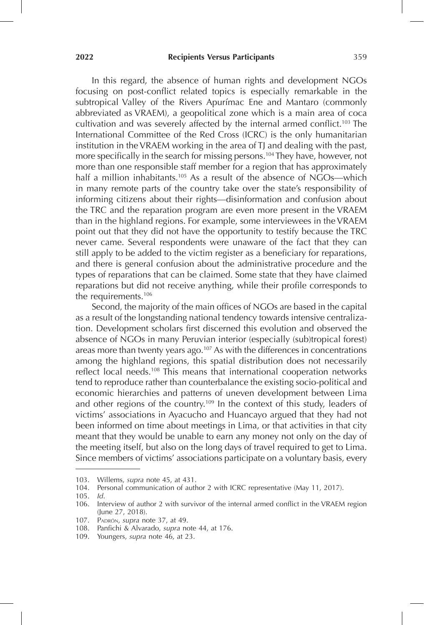In this regard, the absence of human rights and development NGOs focusing on post-conflict related topics is especially remarkable in the subtropical Valley of the Rivers Apurímac Ene and Mantaro (commonly abbreviated as VRAEM), a geopolitical zone which is a main area of coca cultivation and was severely affected by the internal armed conflict.<sup>103</sup> The International Committee of the Red Cross (ICRC) is the only humanitarian institution in the VRAEM working in the area of TJ and dealing with the past, more specifically in the search for missing persons.<sup>104</sup> They have, however, not more than one responsible staff member for a region that has approximately half a million inhabitants.<sup>105</sup> As a result of the absence of NGOs—which in many remote parts of the country take over the state's responsibility of informing citizens about their rights—disinformation and confusion about the TRC and the reparation program are even more present in the VRAEM than in the highland regions. For example, some interviewees in the VRAEM point out that they did not have the opportunity to testify because the TRC never came. Several respondents were unaware of the fact that they can still apply to be added to the victim register as a beneficiary for reparations, and there is general confusion about the administrative procedure and the types of reparations that can be claimed. Some state that they have claimed reparations but did not receive anything, while their profile corresponds to the requirements.106

Second, the majority of the main offices of NGOs are based in the capital as a result of the longstanding national tendency towards intensive centralization. Development scholars first discerned this evolution and observed the absence of NGOs in many Peruvian interior (especially (sub)tropical forest) areas more than twenty years ago.<sup>107</sup> As with the differences in concentrations among the highland regions, this spatial distribution does not necessarily reflect local needs.<sup>108</sup> This means that international cooperation networks tend to reproduce rather than counterbalance the existing socio-political and economic hierarchies and patterns of uneven development between Lima and other regions of the country.<sup>109</sup> In the context of this study, leaders of victims' associations in Ayacucho and Huancayo argued that they had not been informed on time about meetings in Lima, or that activities in that city meant that they would be unable to earn any money not only on the day of the meeting itself, but also on the long days of travel required to get to Lima. Since members of victims' associations participate on a voluntary basis, every

<sup>103.</sup> Willems, *supra* note 45, at 431.

<sup>104.</sup> Personal communication of author 2 with ICRC representative (May 11, 2017).

<sup>105.</sup> *Id*.

<sup>106.</sup> Interview of author 2 with survivor of the internal armed conflict in the VRAEM region (June 27, 2018).

<sup>107.</sup> Padrón, *supra* note 37, at 49.

<sup>108.</sup> Panfichi & Alvarado, *supra* note 44, at 176.

<sup>109.</sup> Youngers, *supra* note 46, at 23.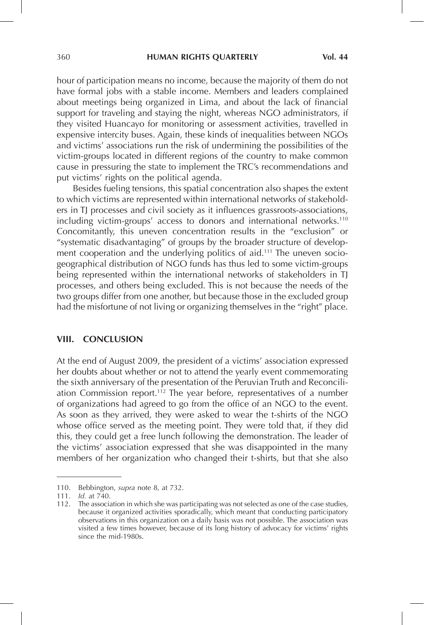hour of participation means no income, because the majority of them do not have formal jobs with a stable income. Members and leaders complained about meetings being organized in Lima, and about the lack of financial support for traveling and staying the night, whereas NGO administrators, if they visited Huancayo for monitoring or assessment activities, travelled in expensive intercity buses. Again, these kinds of inequalities between NGOs and victims' associations run the risk of undermining the possibilities of the victim-groups located in different regions of the country to make common cause in pressuring the state to implement the TRC's recommendations and put victims' rights on the political agenda.

Besides fueling tensions, this spatial concentration also shapes the extent to which victims are represented within international networks of stakeholders in TJ processes and civil society as it influences grassroots-associations, including victim-groups' access to donors and international networks.110 Concomitantly, this uneven concentration results in the "exclusion" or "systematic disadvantaging" of groups by the broader structure of development cooperation and the underlying politics of aid.<sup>111</sup> The uneven sociogeographical distribution of NGO funds has thus led to some victim-groups being represented within the international networks of stakeholders in TJ processes, and others being excluded. This is not because the needs of the two groups differ from one another, but because those in the excluded group had the misfortune of not living or organizing themselves in the "right" place.

#### **VIII. CONCLUSION**

At the end of August 2009, the president of a victims' association expressed her doubts about whether or not to attend the yearly event commemorating the sixth anniversary of the presentation of the Peruvian Truth and Reconciliation Commission report.112 The year before, representatives of a number of organizations had agreed to go from the office of an NGO to the event. As soon as they arrived, they were asked to wear the t-shirts of the NGO whose office served as the meeting point. They were told that, if they did this, they could get a free lunch following the demonstration. The leader of the victims' association expressed that she was disappointed in the many members of her organization who changed their t-shirts, but that she also

<sup>110.</sup> Bebbington, *supra* note 8, at 732.

<sup>111.</sup> *Id.* at 740.

<sup>112.</sup> The association in which she was participating was not selected as one of the case studies, because it organized activities sporadically, which meant that conducting participatory observations in this organization on a daily basis was not possible. The association was visited a few times however, because of its long history of advocacy for victims' rights since the mid-1980s.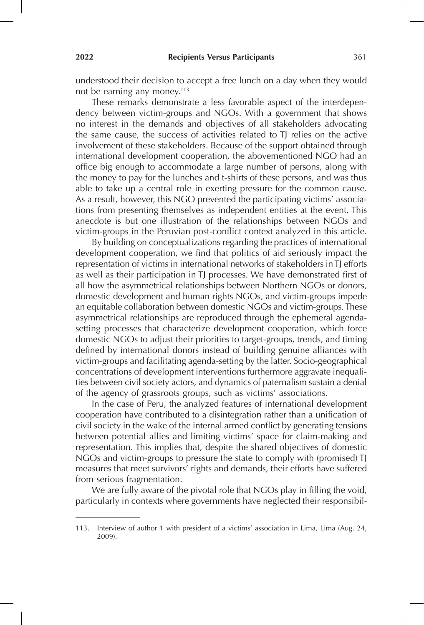understood their decision to accept a free lunch on a day when they would not be earning any money.<sup>113</sup>

These remarks demonstrate a less favorable aspect of the interdependency between victim-groups and NGOs. With a government that shows no interest in the demands and objectives of all stakeholders advocating the same cause, the success of activities related to TJ relies on the active involvement of these stakeholders. Because of the support obtained through international development cooperation, the abovementioned NGO had an office big enough to accommodate a large number of persons, along with the money to pay for the lunches and t-shirts of these persons, and was thus able to take up a central role in exerting pressure for the common cause. As a result, however, this NGO prevented the participating victims' associations from presenting themselves as independent entities at the event. This anecdote is but one illustration of the relationships between NGOs and victim-groups in the Peruvian post-conflict context analyzed in this article.

By building on conceptualizations regarding the practices of international development cooperation, we find that politics of aid seriously impact the representation of victims in international networks of stakeholders in TJ efforts as well as their participation in TJ processes. We have demonstrated first of all how the asymmetrical relationships between Northern NGOs or donors, domestic development and human rights NGOs, and victim-groups impede an equitable collaboration between domestic NGOs and victim-groups. These asymmetrical relationships are reproduced through the ephemeral agendasetting processes that characterize development cooperation, which force domestic NGOs to adjust their priorities to target-groups, trends, and timing defined by international donors instead of building genuine alliances with victim-groups and facilitating agenda-setting by the latter. Socio-geographical concentrations of development interventions furthermore aggravate inequalities between civil society actors, and dynamics of paternalism sustain a denial of the agency of grassroots groups, such as victims' associations.

In the case of Peru, the analyzed features of international development cooperation have contributed to a disintegration rather than a unification of civil society in the wake of the internal armed conflict by generating tensions between potential allies and limiting victims' space for claim-making and representation. This implies that, despite the shared objectives of domestic NGOs and victim-groups to pressure the state to comply with (promised) TJ measures that meet survivors' rights and demands, their efforts have suffered from serious fragmentation.

We are fully aware of the pivotal role that NGOs play in filling the void, particularly in contexts where governments have neglected their responsibil-

<sup>113.</sup> Interview of author 1 with president of a victims' association in Lima, Lima (Aug. 24, 2009).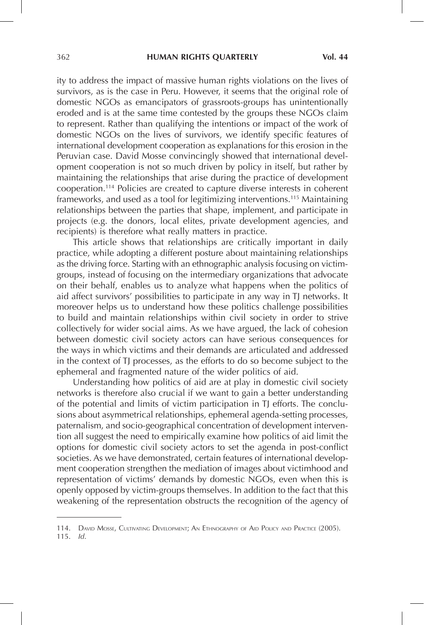ity to address the impact of massive human rights violations on the lives of survivors, as is the case in Peru. However, it seems that the original role of domestic NGOs as emancipators of grassroots-groups has unintentionally eroded and is at the same time contested by the groups these NGOs claim to represent. Rather than qualifying the intentions or impact of the work of domestic NGOs on the lives of survivors, we identify specific features of international development cooperation as explanations for this erosion in the Peruvian case. David Mosse convincingly showed that international development cooperation is not so much driven by policy in itself, but rather by maintaining the relationships that arise during the practice of development cooperation.114 Policies are created to capture diverse interests in coherent frameworks, and used as a tool for legitimizing interventions.<sup>115</sup> Maintaining relationships between the parties that shape, implement, and participate in projects (e.g. the donors, local elites, private development agencies, and recipients) is therefore what really matters in practice.

This article shows that relationships are critically important in daily practice, while adopting a different posture about maintaining relationships as the driving force. Starting with an ethnographic analysis focusing on victimgroups, instead of focusing on the intermediary organizations that advocate on their behalf, enables us to analyze what happens when the politics of aid affect survivors' possibilities to participate in any way in TJ networks. It moreover helps us to understand how these politics challenge possibilities to build and maintain relationships within civil society in order to strive collectively for wider social aims. As we have argued, the lack of cohesion between domestic civil society actors can have serious consequences for the ways in which victims and their demands are articulated and addressed in the context of TJ processes, as the efforts to do so become subject to the ephemeral and fragmented nature of the wider politics of aid.

Understanding how politics of aid are at play in domestic civil society networks is therefore also crucial if we want to gain a better understanding of the potential and limits of victim participation in TJ efforts. The conclusions about asymmetrical relationships, ephemeral agenda-setting processes, paternalism, and socio-geographical concentration of development intervention all suggest the need to empirically examine how politics of aid limit the options for domestic civil society actors to set the agenda in post-conflict societies. As we have demonstrated, certain features of international development cooperation strengthen the mediation of images about victimhood and representation of victims' demands by domestic NGOs, even when this is openly opposed by victim-groups themselves. In addition to the fact that this weakening of the representation obstructs the recognition of the agency of

115. *Id*.

<sup>114.</sup> David Mosse, Cultivating Development; An Ethnography of Aid Policy and Practice (2005).